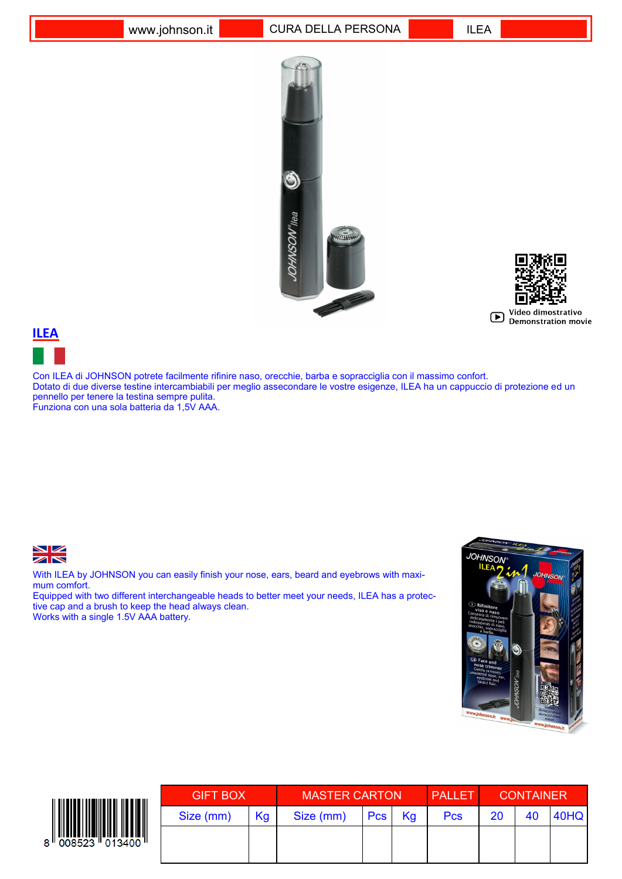



## **ILEA**

Con ILEA di JOHNSON potrete facilmente rifinire naso, orecchie, barba e sopracciglia con il massimo confort. Dotato di due diverse testine intercambiabili per meglio assecondare le vostre esigenze, ILEA ha un cappuccio di protezione ed un pennello per tenere la testina sempre pulita. Funziona con una sola batteria da 1,5V AAA.



With ILEA by JOHNSON you can easily finish your nose, ears, beard and eyebrows with maximum comfort.

Equipped with two different interchangeable heads to better meet your needs, ILEA has a protective cap and a brush to keep the head always clean. Works with a single 1.5V AAA battery.





| <b>GIFT BOX</b> |    | <b>MASTER CARTON</b> |            |    | <b>PALLET</b> | <b>CONTAINER</b> |    |      |
|-----------------|----|----------------------|------------|----|---------------|------------------|----|------|
| Size (mm)       | Kg | Size (mm)            | <b>Pcs</b> | Kg | <b>Pcs</b>    | 20               | 40 | 40HQ |
|                 |    |                      |            |    |               |                  |    |      |
|                 |    |                      |            |    |               |                  |    |      |